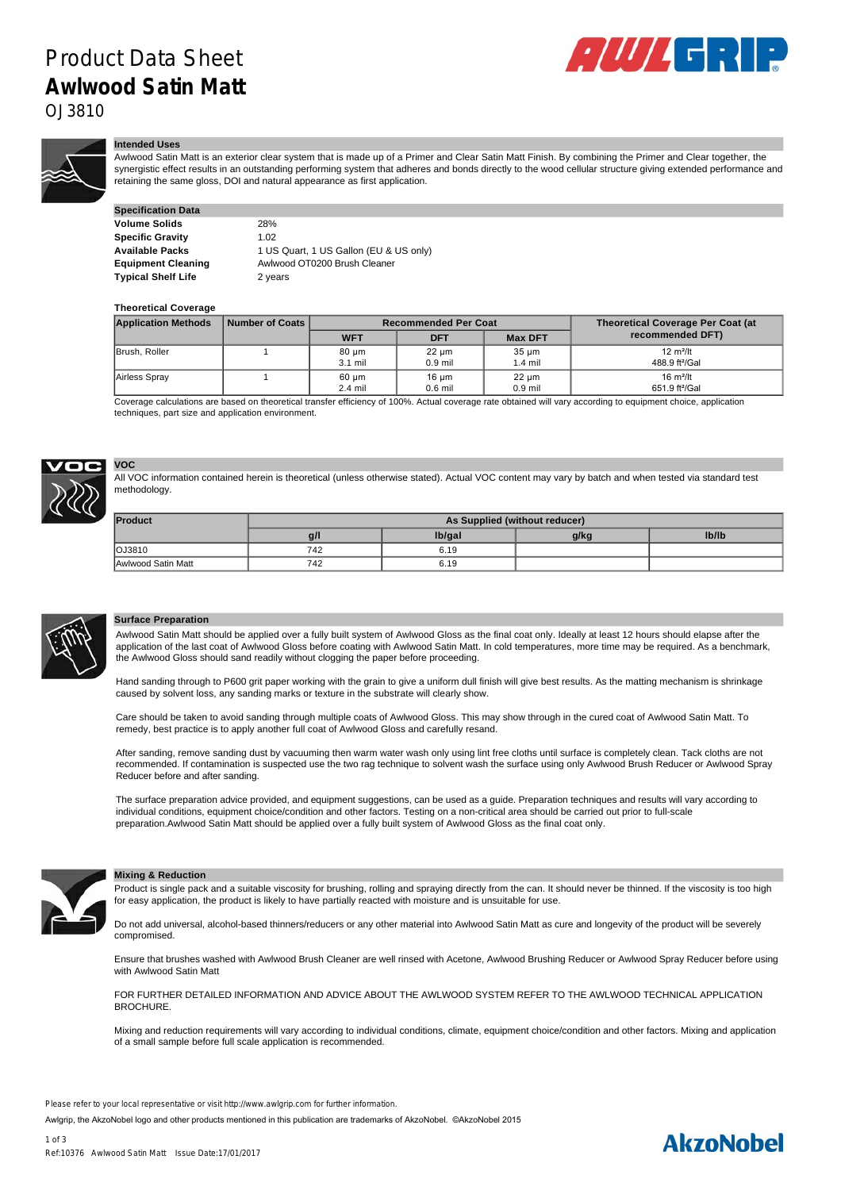## Product Data Sheet **Awlwood Satin Matt**



OJ3810

#### **Intended Uses**

Awlwood Satin Matt is an exterior clear system that is made up of a Primer and Clear Satin Matt Finish. By combining the Primer and Clear together, the synergistic effect results in an outstanding performing system that adheres and bonds directly to the wood cellular structure giving extended performance and retaining the same gloss, DOI and natural appearance as first application.

| <b>Specification Data</b> |                                        |
|---------------------------|----------------------------------------|
| <b>Volume Solids</b>      | 28%                                    |
| Specific Gravity          | 1.02                                   |
| Available Packs           | 1 US Quart, 1 US Gallon (EU & US only) |
| <b>Equipment Cleaning</b> | Awlwood OT0200 Brush Cleaner           |
| Typical Shelf Life        | 2 years                                |

#### **Theoretical Coverage**

| <b>Application Methods</b> | Number of Coats | <b>Recommended Per Coat</b> |                              |                         | Theoretical Coverage Per Coat (at                  |
|----------------------------|-----------------|-----------------------------|------------------------------|-------------------------|----------------------------------------------------|
|                            |                 | <b>WFT</b>                  | <b>DFT</b>                   | <b>Max DFT</b>          | recommended DFT)                                   |
| Brush, Roller              |                 | 80 um<br>3.1 mil            | 22 um<br>$0.9$ mil           | $35 \mu m$<br>$1.4$ mil | $12 \text{ m}^2$ /It<br>488.9 ft <sup>2</sup> /Gal |
| Airless Spray              |                 | 60 µm<br>$2.4$ mil          | $16 \text{ µm}$<br>$0.6$ mil | $22 \mu m$<br>$0.9$ mil | $16 \text{ m}^2$ /It<br>651.9 ft <sup>2</sup> /Gal |

Coverage calculations are based on theoretical transfer efficiency of 100%. Actual coverage rate obtained will vary according to equipment choice, application techniques, part size and application environment.



# **VOC**

All VOC information contained herein is theoretical (unless otherwise stated). Actual VOC content may vary by batch and when tested via standard test methodology.

| <b>Product</b>     | As Supplied (without reducer) |        |      |       |
|--------------------|-------------------------------|--------|------|-------|
|                    | $a$ /                         | lb/gal | g/kg | Ib/Ib |
| <b>OJ3810</b>      | 742                           | 6.19   |      |       |
| Awlwood Satin Matt | 742                           | 6.19   |      |       |



#### **Surface Preparation**

Awlwood Satin Matt should be applied over a fully built system of Awlwood Gloss as the final coat only. Ideally at least 12 hours should elapse after the application of the last coat of Awlwood Gloss before coating with Awlwood Satin Matt. In cold temperatures, more time may be required. As a benchmark, the Awlwood Gloss should sand readily without clogging the paper before proceeding.

Hand sanding through to P600 grit paper working with the grain to give a uniform dull finish will give best results. As the matting mechanism is shrinkage caused by solvent loss, any sanding marks or texture in the substrate will clearly show.

Care should be taken to avoid sanding through multiple coats of Awlwood Gloss. This may show through in the cured coat of Awlwood Satin Matt. To remedy, best practice is to apply another full coat of Awlwood Gloss and carefully resand.

After sanding, remove sanding dust by vacuuming then warm water wash only using lint free cloths until surface is completely clean. Tack cloths are not recommended. If contamination is suspected use the two rag technique to solvent wash the surface using only Awlwood Brush Reducer or Awlwood Spray Reducer before and after sanding.

The surface preparation advice provided, and equipment suggestions, can be used as a guide. Preparation techniques and results will vary according to individual conditions, equipment choice/condition and other factors. Testing on a non-critical area should be carried out prior to full-scale preparation.Awlwood Satin Matt should be applied over a fully built system of Awlwood Gloss as the final coat only.



#### **Mixing & Reduction**

Product is single pack and a suitable viscosity for brushing, rolling and spraying directly from the can. It should never be thinned. If the viscosity is too high for easy application, the product is likely to have partially reacted with moisture and is unsuitable for use.

Do not add universal, alcohol-based thinners/reducers or any other material into Awlwood Satin Matt as cure and longevity of the product will be severely compromised.

Ensure that brushes washed with Awlwood Brush Cleaner are well rinsed with Acetone, Awlwood Brushing Reducer or Awlwood Spray Reducer before using with Awlwood Satin Matt

FOR FURTHER DETAILED INFORMATION AND ADVICE ABOUT THE AWLWOOD SYSTEM REFER TO THE AWLWOOD TECHNICAL APPLICATION **BROCHURE** 

Mixing and reduction requirements will vary according to individual conditions, climate, equipment choice/condition and other factors. Mixing and application of a small sample before full scale application is recommended.

Please refer to your local representative or visit http://www.awlgrip.com for further information.

Awlgrip, the AkzoNobel logo and other products mentioned in this publication are trademarks of AkzoNobel. ©AkzoNobel 2015

### **AkzoNobel**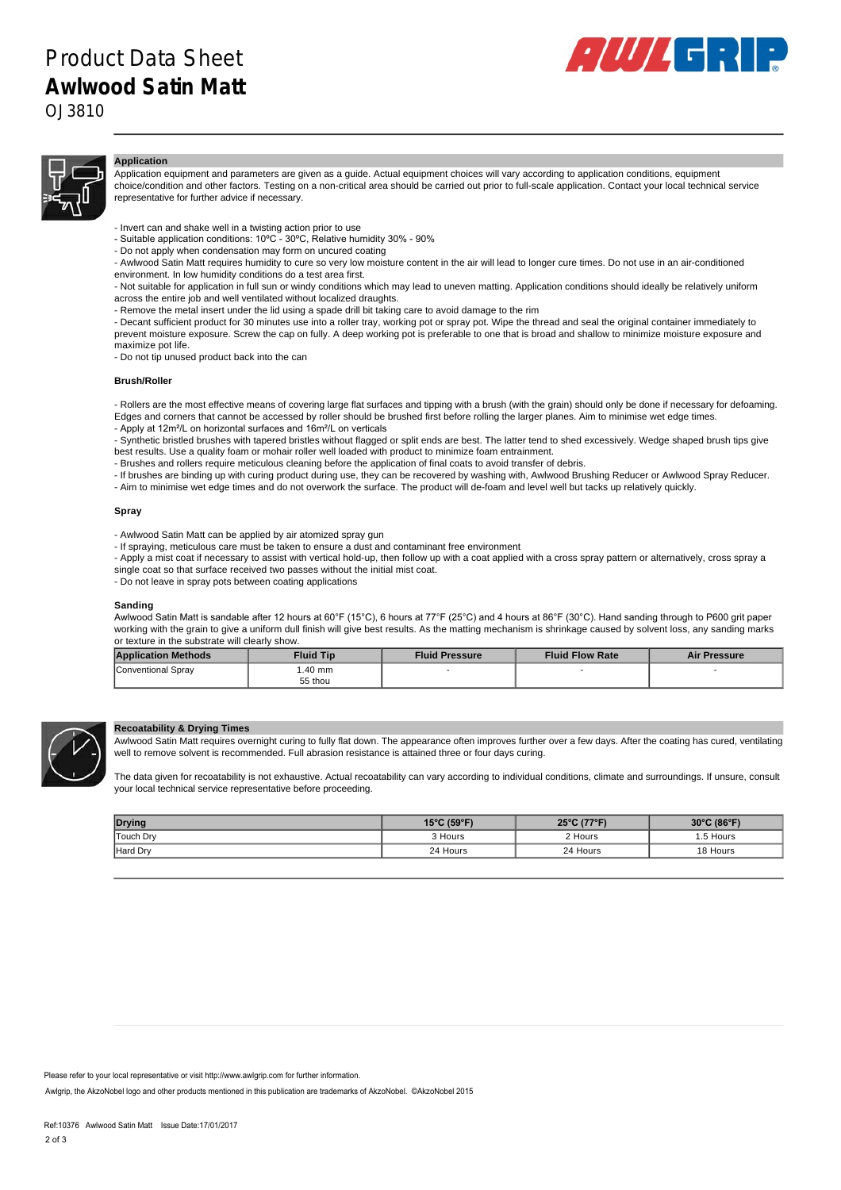

#### **Application**

Application equipment and parameters are given as a guide. Actual equipment choices will vary according to application conditions, equipment choice/condition and other factors. Testing on a non-critical area should be carried out prior to full-scale application. Contact your local technical service representative for further advice if necessary.

- Invert can and shake well in a twisting action prior to use
- Suitable application conditions: 10°C 30°C, Relative humidity 30% 90%
- Do not apply when condensation may form on uncured coating
- Awlwood Satin Matt requires humidity to cure so very low moisture content in the air will lead to longer cure times. Do not use in an air-conditioned environment. In low humidity conditions do a test area first.
	- Not suitable for application in full sun or windy conditions which may lead to uneven matting. Application conditions should ideally be relatively uniform across the entire job and well ventilated without localized draughts.
	- Remove the metal insert under the lid using a spade drill bit taking care to avoid damage to the rim

- Decant sufficient product for 30 minutes use into a roller tray, working pot or spray pot. Wipe the thread and seal the original container immediately to prevent moisture exposure. Screw the cap on fully. A deep working pot is preferable to one that is broad and shallow to minimize moisture exposure and maximize pot life.

- Do not tip unused product back into the can

#### **Brush/Roller**

- Rollers are the most effective means of covering large flat surfaces and tipping with a brush (with the grain) should only be done if necessary for defoaming. Edges and corners that cannot be accessed by roller should be brushed first before rolling the larger planes. Aim to minimise wet edge times. - Apply at 12m²/L on horizontal surfaces and 16m²/L on verticals

- Synthetic bristled brushes with tapered bristles without flagged or split ends are best. The latter tend to shed excessively. Wedge shaped brush tips give best results. Use a quality foam or mohair roller well loaded with product to minimize foam entrainment.
- Brushes and rollers require meticulous cleaning before the application of final coats to avoid transfer of debris.
- If brushes are binding up with curing product during use, they can be recovered by washing with, Awlwood Brushing Reducer or Awlwood Spray Reducer.
- Aim to minimise wet edge times and do not overwork the surface. The product will de-foam and level well but tacks up relatively quickly.

#### **Spray**

- Awlwood Satin Matt can be applied by air atomized spray gun
- If spraying, meticulous care must be taken to ensure a dust and contaminant free environment
- Apply a mist coat if necessary to assist with vertical hold-up, then follow up with a coat applied with a cross spray pattern or alternatively, cross spray a single coat so that surface received two passes without the initial mist coat.
- Do not leave in spray pots between coating applications

#### **Sanding**

Awlwood Satin Matt is sandable after 12 hours at 60°F (15°C), 6 hours at 77°F (25°C) and 4 hours at 86°F (30°C). Hand sanding through to P600 grit paper working with the grain to give a uniform dull finish will give best results. As the matting mechanism is shrinkage caused by solvent loss, any sanding marks or texture in the substrate will clearly show.

| <b>Application Methods</b> | <b>Fluid Tip</b> | <b>Fluid Pressure</b> | <b>Fluid Flow Rate</b> | <b>Air Pressure</b> |
|----------------------------|------------------|-----------------------|------------------------|---------------------|
| Conventional Spray         | .40 mm           |                       |                        |                     |
|                            | 55 thou          |                       |                        |                     |



#### **Recoatability & Drying Times**

Awlwood Satin Matt requires overnight curing to fully flat down. The appearance often improves further over a few days. After the coating has cured, ventilating well to remove solvent is recommended. Full abrasion resistance is attained three or four days curing.

The data given for recoatability is not exhaustive. Actual recoatability can vary according to individual conditions, climate and surroundings. If unsure, consult your local technical service representative before proceeding.

| <b>Drying</b>    | 15°C (59°F) | 25°C (77°F) | 30°C (86°F) |
|------------------|-------------|-------------|-------------|
| <b>Touch Dry</b> | 3 Hours     | 2 Hours     | .5 Hours    |
| Hard Dry         | 24 Hours    | 24 Hours    | 18 Hours    |

Some sunscreens contain 'nano grades' of Titanium Dioxide or Zinc Oxide which when transferred from hands onto varnished exterior surfaces will accelerate Please refer to your local representative or visit http://www.awlgrip.com for further information.<br>.

Awlgrip, the AkzoNobel logo and other products mentioned in this publication are trademarks of AkzoNobel. ©AkzoNobel 2015